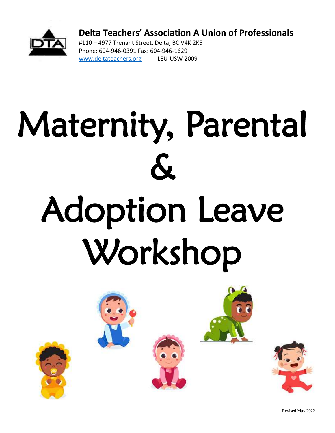

**Delta Teachers' Association A Union of Professionals**

#110 – 4977 Trenant Street, Delta, BC V4K 2K5 Phone: 604-946-0391 Fax: 604-946-1629 [www.deltateachers.org](http://www.deltateachers.org/) LEU-USW 2009

# Maternity, Parental  $\boldsymbol{\mathcal{K}}$ Adoption Leave Workshop



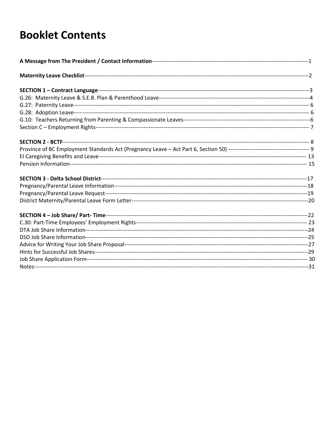## **Booklet Contents**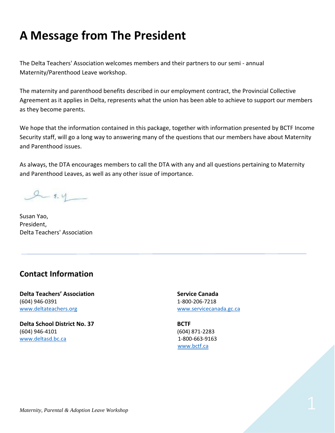## **A Message from The President**

The Delta Teachers' Association welcomes members and their partners to our semi - annual Maternity/Parenthood Leave workshop.

The maternity and parenthood benefits described in our employment contract, the Provincial Collective Agreement as it applies in Delta, represents what the union has been able to achieve to support our members as they become parents.

We hope that the information contained in this package, together with information presented by BCTF Income Security staff, will go a long way to answering many of the questions that our members have about Maternity and Parenthood issues.

As always, the DTA encourages members to call the DTA with any and all questions pertaining to Maternity and Parenthood Leaves, as well as any other issue of importance.

 $2 - 8.4$ 

Susan Yao, President, Delta Teachers' Association

#### **Contact Information**

**Delta Teachers' Association Service Canada** (604) 946-0391 1-800-206-7218 [www.deltateachers.org](http://www.deltateachers.org/) [www.servicecanada.gc.ca](http://www.servicecanada.gc.ca/)

**Delta School District No. 37 BCTF** (604) 946-4101 (604) 871-2283 [www.deltasd.bc.ca](http://www.deltasd.bc.ca/) 1-800-663-9163

[www.bctf.ca](http://www.bctf.ca/)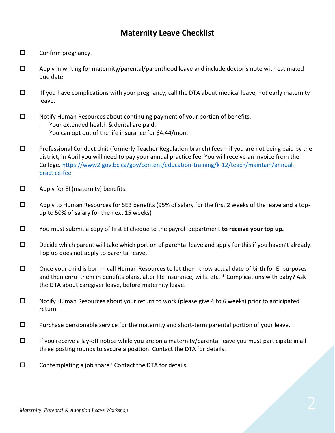#### **Maternity Leave Checklist**

- $\square$  Confirm pregnancy.
- $\square$  Apply in writing for maternity/parental/parenthood leave and include doctor's note with estimated due date.
- $\Box$  If you have complications with your pregnancy, call the DTA about medical leave, not early maternity leave.
- $\Box$  Notify Human Resources about continuing payment of your portion of benefits.
	- Your extended health & dental are paid.
	- You can opt out of the life insurance for \$4.44/month
- $\Box$  Professional Conduct Unit (formerly Teacher Regulation branch) fees if you are not being paid by the district, in April you will need to pay your annual practice fee. You will receive an invoice from the College. [https://www2.gov.bc.ca/gov/content/education-training/k-12/teach/maintain/annual](https://www2.gov.bc.ca/gov/content/education-training/k-12/teach/maintain/annual-practice-fee)[practice-fee](https://www2.gov.bc.ca/gov/content/education-training/k-12/teach/maintain/annual-practice-fee)
- $\square$  Apply for EI (maternity) benefits.
- $\square$  Apply to Human Resources for SEB benefits (95% of salary for the first 2 weeks of the leave and a topup to 50% of salary for the next 15 weeks)
- You must submit a copy of first EI cheque to the payroll department **to receive your top up.**
- $\square$  Decide which parent will take which portion of parental leave and apply for this if you haven't already. Top up does not apply to parental leave.
- $\square$  Once your child is born call Human Resources to let them know actual date of birth for EI purposes and then enrol them in benefits plans, alter life insurance, wills. etc. \* Complications with baby? Ask the DTA about caregiver leave, before maternity leave.
- $\square$  Notify Human Resources about your return to work (please give 4 to 6 weeks) prior to anticipated return.
- $\square$  Purchase pensionable service for the maternity and short-term parental portion of your leave.
- $\Box$  If you receive a lay-off notice while you are on a maternity/parental leave you must participate in all three posting rounds to secure a position. Contact the DTA for details.
- $\square$  Contemplating a job share? Contact the DTA for details.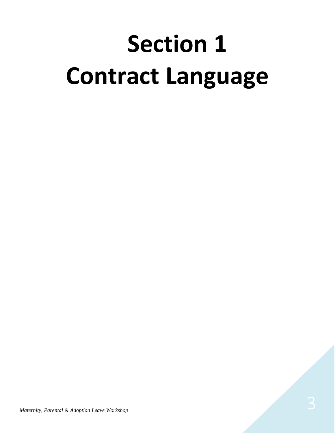## **Section 1 Contract Language**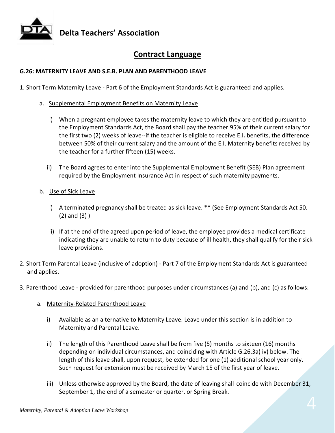

### **Delta Teachers' Association**

#### **Contract Language**

#### **G.26: MATERNITY LEAVE AND S.E.B. PLAN AND PARENTHOOD LEAVE**

1. Short Term Maternity Leave - Part 6 of the Employment Standards Act is guaranteed and applies.

- a. Supplemental Employment Benefits on Maternity Leave
	- i) When a pregnant employee takes the maternity leave to which they are entitled pursuant to the Employment Standards Act, the Board shall pay the teacher 95% of their current salary for the first two (2) weeks of leave--if the teacher is eligible to receive E.I*.* benefits, the difference between 50% of their current salary and the amount of the E.I. Maternity benefits received by the teacher for a further fifteen (15) weeks.
	- ii) The Board agrees to enter into the Supplemental Employment Benefit (SEB) Plan agreement required by the Employment Insurance Act in respect of such maternity payments.
- b. Use of Sick Leave
	- i) A terminated pregnancy shall be treated as sick leave. \*\* (See Employment Standards Act 50. (2) and (3) )
	- ii) If at the end of the agreed upon period of leave, the employee provides a medical certificate indicating they are unable to return to duty because of ill health, they shall qualify for their sick leave provisions.
- 2. Short Term Parental Leave (inclusive of adoption) Part 7 of the Employment Standards Act is guaranteed and applies.
- 3. Parenthood Leave provided for parenthood purposes under circumstances (a) and (b), and (c) as follows:
	- a. Maternity-Related Parenthood Leave
		- i) Available as an alternative to Maternity Leave. Leave under this section is in addition to Maternity and Parental Leave.
		- ii) The length of this Parenthood Leave shall be from five (5) months to sixteen (16) months depending on individual circumstances, and coinciding with Article G.26.3a) iv) below. The length of this leave shall, upon request, be extended for one (1) additional school year only. Such request for extension must be received by March 15 of the first year of leave.
		- iii) Unless otherwise approved by the Board, the date of leaving shall coincide with December 31, September 1, the end of a semester or quarter, or Spring Break.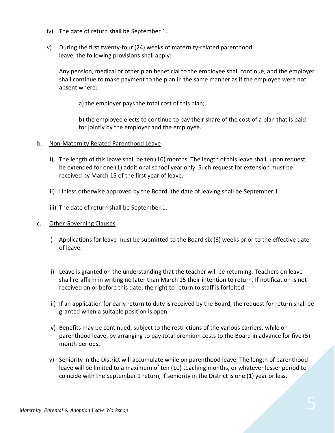- iv) The date of return shall be September 1.
- v) During the first twenty-four (24) weeks of maternity-related parenthood leave, the following provisions shall apply:

Any pension, medical or other plan beneficial to the employee shall continue, and the employer shall continue to make payment to the plan in the same manner as if the employee were not absent where:

a) the employer pays the total cost of this plan;

b) the employee elects to continue to pay their share of the cost of a plan that is paid for jointly by the employer and the employee.

- b. Non-Maternity Related Parenthood Leave
	- i) The length of this leave shall be ten (10) months. The length of this leave shall, upon request, be extended for one (1) additional school year only. Such request for extension must be received by March 15 of the first year of leave.
	- ii) Unless otherwise approved by the Board, the date of leaving shall be September 1.
	- iii) The date of return shall be September 1.
- c. Other Governing Clauses
	- i) Applications for leave must be submitted to the Board six (6) weeks prior to the effective date of leave.
	- ii) Leave is granted on the understanding that the teacher will be returning. Teachers on leave shall re-affirm in writing no later than March 15 their intention to return. If notification is not received on or before this date, the right to return to staff is forfeited.
	- iii) If an application for early return to duty is received by the Board, the request for return shall be granted when a suitable position is open.
	- iv) Benefits may be continued, subject to the restrictions of the various carriers, while on parenthood leave, by arranging to pay total premium costs to the Board in advance for five (5) month periods.
	- v) Seniority in the District will accumulate while on parenthood leave. The length of parenthood leave will be limited to a maximum of ten (10) teaching months, or whatever lesser period to coincide with the September 1 return, if seniority in the District is one (1) year or less.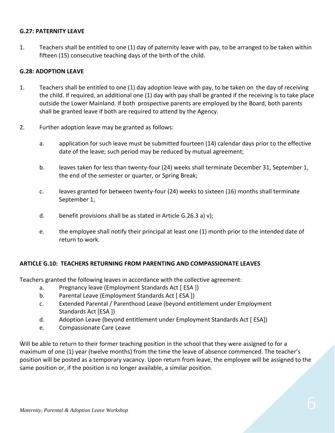#### **G.27: PATERNITY LEAVE**

1. Teachers shall be entitled to one (1) day of paternity leave with pay, to be arranged to be taken within fifteen (15) consecutive teaching days of the birth of the child.

#### **G.28: ADOPTION LEAVE**

- 1. Teachers shall be entitled to one (1) day adoption leave with pay, to be taken on the day of receiving the child. If required, an additional one (1) day with pay shall be granted if the receiving is to take place outside the Lower Mainland. If both prospective parents are employed by the Board, both parents shall be granted leave if both are required to attend by the Agency.
- 2. Further adoption leave may be granted as follows:
	- a. application for such leave must be submitted fourteen (14) calendar days prior to the effective date of the leave; such period may be reduced by mutual agreement;
	- b. leaves taken for less than twenty-four (24) weeks shall terminate December 31, September 1, the end of the semester or quarter, or Spring Break;
	- c. leaves granted for between twenty-four (24) weeks to sixteen (16) months shall terminate September 1;
	- d. benefit provisions shall be as stated in Article G.26.3 a) v);
	- e. the employee shall notify their principal at least one (1) month prior to the intended date of return to work.

#### **ARTICLE G.10: TEACHERS RETURNING FROM PARENTING AND COMPASSIONATE LEAVES**

Teachers granted the following leaves in accordance with the collective agreement:

- a. Pregnancy leave (Employment Standards Act [ ESA ])
- b. Parental Leave (Employment Standards Act [ESA ])
- c. Extended Parental / Parenthood Leave (beyond entitlement under Employment Standards Act [ESA ])
- d. Adoption Leave (beyond entitlement under Employment Standards Act [ ESA])
- e. Compassionate Care Leave

Will be able to return to their former teaching position in the school that they were assigned to for a maximum of one (1) year (twelve months) from the time the leave of absence commenced. The teacher's position will be posted as a temporary vacancy. Upon return from leave, the employee will be assigned to the same position or, if the position is no longer available, a similar position.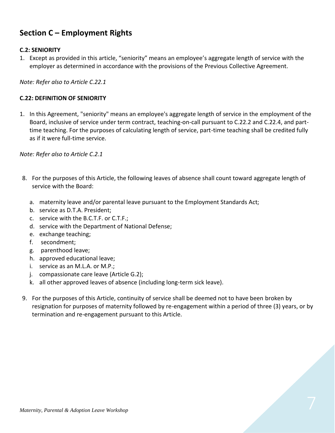#### **Section C – Employment Rights**

#### **C.2: SENIORITY**

1. Except as provided in this article, "seniority" means an employee's aggregate length of service with the employer as determined in accordance with the provisions of the Previous Collective Agreement.

*Note: Refer also to Article C.22.1*

#### **C.22: DEFINITION OF SENIORITY**

1. In this Agreement, "seniority" means an employee's aggregate length of service in the employment of the Board, inclusive of service under term contract, teaching-on-call pursuant to C.22.2 and C.22.4, and parttime teaching. For the purposes of calculating length of service, part-time teaching shall be credited fully as if it were full-time service.

*Note: Refer also to Article C.2.1*

- 8. For the purposes of this Article, the following leaves of absence shall count toward aggregate length of service with the Board:
	- a. maternity leave and/or parental leave pursuant to the Employment Standards Act;
	- b. service as D.T.A. President;
	- c. service with the B.C.T.F. or C.T.F.;
	- d. service with the Department of National Defense;
	- e. exchange teaching;
	- f. secondment;
	- g. parenthood leave;
	- h. approved educational leave;
	- i. service as an M.L.A. or M.P.;
	- j. compassionate care leave (Article G.2);
	- k. all other approved leaves of absence (including long-term sick leave).
- 9. For the purposes of this Article, continuity of service shall be deemed not to have been broken by resignation for purposes of maternity followed by re-engagement within a period of three (3) years, or by termination and re-engagement pursuant to this Article.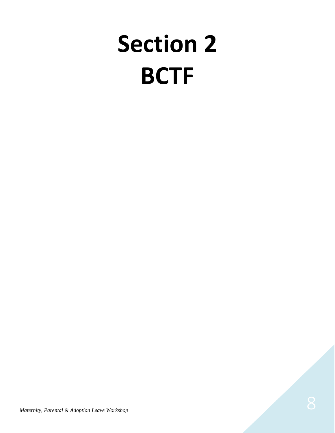## **Section 2 BCTF**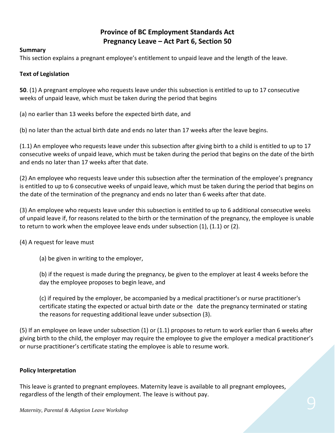#### **Province of BC Employment Standards Act Pregnancy Leave – Act Part 6, Section 50**

#### **Summary**

This section explains a pregnant employee's entitlement to unpaid leave and the length of the leave.

#### **Text of Legislation**

**50**. (1) A pregnant employee who requests leave under this subsection is entitled to up to 17 consecutive weeks of unpaid leave, which must be taken during the period that begins

(a) no earlier than 13 weeks before the expected birth date, and

(b) no later than the actual birth date and ends no later than 17 weeks after the leave begins.

(1.1) An employee who requests leave under this subsection after giving birth to a child is entitled to up to 17 consecutive weeks of unpaid leave, which must be taken during the period that begins on the date of the birth and ends no later than 17 weeks after that date.

(2) An employee who requests leave under this subsection after the termination of the employee's pregnancy is entitled to up to 6 consecutive weeks of unpaid leave, which must be taken during the period that begins on the date of the termination of the pregnancy and ends no later than 6 weeks after that date.

(3) An employee who requests leave under this subsection is entitled to up to 6 additional consecutive weeks of unpaid leave if, for reasons related to the birth or the termination of the pregnancy, the employee is unable to return to work when the employee leave ends under subsection (1), (1.1) or (2).

#### (4) A request for leave must

(a) be given in writing to the employer,

(b) if the request is made during the pregnancy, be given to the employer at least 4 weeks before the day the employee proposes to begin leave, and

(c) if required by the employer, be accompanied by a medical practitioner's or nurse practitioner's certificate stating the expected or actual birth date or the date the pregnancy terminated or stating the reasons for requesting additional leave under subsection (3).

(5) If an employee on leave under subsection (1) or (1.1) proposes to return to work earlier than 6 weeks after giving birth to the child, the employer may require the employee to give the employer a medical practitioner's or nurse practitioner's certificate stating the employee is able to resume work.

#### **Policy Interpretation**

*Maternity, Parental & Adoption Leave Workshop* 9. Maternity, Parental & Adoption *Leave Workshop* 9. Maternity, Parental & Adoption *Leave Workshop* 9. Maternity, Parental & Adoption *Leave Workshop* This leave is granted to pregnant employees. Maternity leave is available to all pregnant employees, regardless of the length of their employment. The leave is without pay.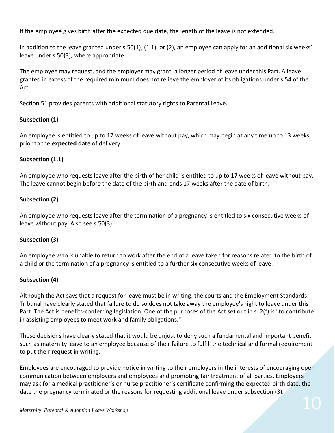If the employee gives birth after the expected due date, the length of the leave is not extended.

In addition to the leave granted under s.50(1), (1.1), or (2), an employee can apply for an additional six weeks' leave under s.50(3), where appropriate.

The employee may request, and the employer may grant, a longer period of leave under this Part. A leave granted in excess of the required minimum does not relieve the employer of its obligations under s.54 of the Act.

Section 51 provides parents with additional statutory rights to Parental Leave.

#### **Subsection (1)**

An employee is entitled to up to 17 weeks of leave without pay, which may begin at any time up to 13 weeks prior to the **expected date** of delivery.

#### **Subsection (1.1)**

An employee who requests leave after the birth of her child is entitled to up to 17 weeks of leave without pay. The leave cannot begin before the date of the birth and ends 17 weeks after the date of birth.

#### **Subsection (2)**

An employee who requests leave after the termination of a pregnancy is entitled to six consecutive weeks of leave without pay. Also see s.50(3).

#### **Subsection (3)**

An employee who is unable to return to work after the end of a leave taken for reasons related to the birth of a child or the termination of a pregnancy is entitled to a further six consecutive weeks of leave.

#### **Subsection (4)**

Although the Act says that a request for leave must be in writing, the courts and the Employment Standards Tribunal have clearly stated that failure to do so does not take away the employee's right to leave under this Part. The Act is benefits-conferring legislation. One of the purposes of the Act set out in s. 2(f) is "to contribute in assisting employees to meet work and family obligations."

These decisions have clearly stated that it would be unjust to deny such a fundamental and important benefit such as maternity leave to an employee because of their failure to fulfill the technical and formal requirement to put their request in writing.

Employees are encouraged to provide notice in writing to their employers in the interests of encouraging open communication between employers and employees and promoting fair treatment of all parties. Employers may ask for a medical practitioner's or nurse practitioner's certificate confirming the expected birth date, the date the pregnancy terminated or the reasons for requesting additional leave under subsection (3).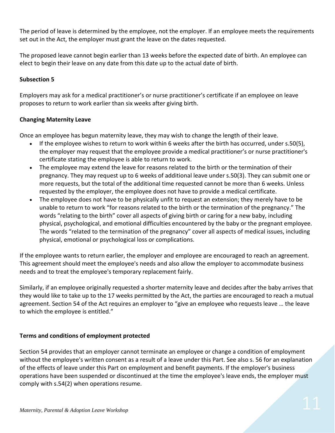The period of leave is determined by the employee, not the employer. If an employee meets the requirements set out in the Act, the employer must grant the leave on the dates requested.

The proposed leave cannot begin earlier than 13 weeks before the expected date of birth. An employee can elect to begin their leave on any date from this date up to the actual date of birth.

#### **Subsection 5**

Employers may ask for a medical practitioner's or nurse practitioner's certificate if an employee on leave proposes to return to work earlier than six weeks after giving birth.

#### **Changing Maternity Leave**

Once an employee has begun maternity leave, they may wish to change the length of their leave.

- If the employee wishes to return to work within 6 weeks after the birth has occurred, under s.50(5), the employer may request that the employee provide a medical practitioner's or nurse practitioner's certificate stating the employee is able to return to work.
- The employee may extend the leave for reasons related to the birth or the termination of their pregnancy. They may request up to 6 weeks of additional leave under s.50(3). They can submit one or more requests, but the total of the additional time requested cannot be more than 6 weeks. Unless requested by the employer, the employee does not have to provide a medical certificate.
- The employee does not have to be physically unfit to request an extension; they merely have to be unable to return to work "for reasons related to the birth or the termination of the pregnancy." The words "relating to the birth" cover all aspects of giving birth or caring for a new baby, including physical, psychological, and emotional difficulties encountered by the baby or the pregnant employee. The words "related to the termination of the pregnancy" cover all aspects of medical issues, including physical, emotional or psychological loss or complications.

If the employee wants to return earlier, the employer and employee are encouraged to reach an agreement. This agreement should meet the employee's needs and also allow the employer to accommodate business needs and to treat the employee's temporary replacement fairly.

Similarly, if an employee originally requested a shorter maternity leave and decides after the baby arrives that they would like to take up to the 17 weeks permitted by the Act, the parties are encouraged to reach a mutual agreement. Section 54 of the Act requires an employer to "give an employee who requests leave … the leave to which the employee is entitled."

#### **Terms and conditions of employment protected**

Section 54 provides that an employer cannot terminate an employee or change a condition of employment without the employee's written consent as a result of a leave under this Part. See also s. 56 for an explanation of the effects of leave under this Part on employment and benefit payments. If the employer's business operations have been suspended or discontinued at the time the employee's leave ends, the employer must comply with s.54(2) when operations resume.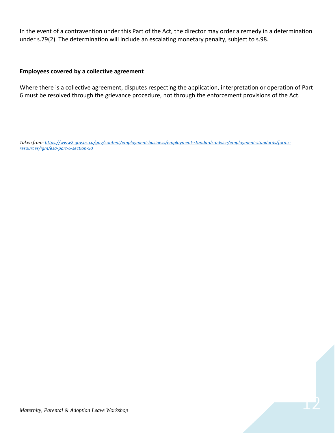In the event of a contravention under this Part of the Act, the director may order a remedy in a determination under s.79(2). The determination will include an escalating monetary penalty, subject to s.98.

#### **Employees covered by a collective agreement**

Where there is a collective agreement, disputes respecting the application, interpretation or operation of Part 6 must be resolved through the grievance procedure, not through the enforcement provisions of the Act.

*Taken from[: https://www2.gov.bc.ca/gov/content/employment-business/employment-standards-advice/employment-standards/forms](https://www2.gov.bc.ca/gov/content/employment-business/employment-standards-advice/employment-standards/forms-resources/igm/esa-part-6-section-50)[resources/igm/esa-part-6-section-50](https://www2.gov.bc.ca/gov/content/employment-business/employment-standards-advice/employment-standards/forms-resources/igm/esa-part-6-section-50)*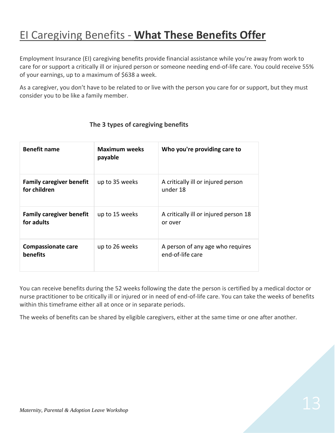## EI Caregiving Benefits - **What These Benefits Offer**

Employment Insurance (EI) caregiving benefits provide financial assistance while you're away from work to care for or support a critically ill or injured person or someone needing end-of-life care. You could receive 55% of your earnings, up to a maximum of \$638 a week.

As a caregiver, you don't have to be related to or live with the person you care for or support, but they must consider you to be like a family member.

| <b>Benefit name</b>                             | <b>Maximum weeks</b><br>payable | Who you're providing care to                         |
|-------------------------------------------------|---------------------------------|------------------------------------------------------|
| <b>Family caregiver benefit</b><br>for children | up to 35 weeks                  | A critically ill or injured person<br>under 18       |
| <b>Family caregiver benefit</b><br>for adults   | up to 15 weeks                  | A critically ill or injured person 18<br>or over     |
| <b>Compassionate care</b><br>benefits           | up to 26 weeks                  | A person of any age who requires<br>end-of-life care |

#### **The 3 types of caregiving benefits**

You can receive benefits during the 52 weeks following the date the person is certified by a medical doctor or nurse practitioner to be critically ill or injured or in need of end-of-life care. You can take the weeks of benefits within this timeframe either all at once or in separate periods.

The weeks of benefits can be shared by eligible caregivers, either at the same time or one after another.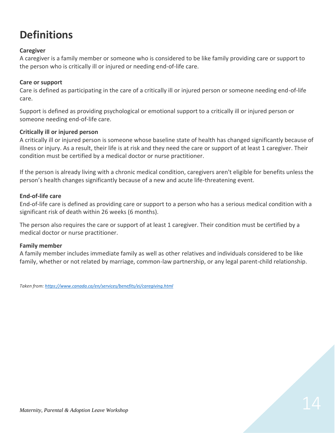## **Definitions**

#### **Caregiver**

A caregiver is a family member or someone who is considered to be like family providing care or support to the person who is critically ill or injured or needing end-of-life care.

#### **Care or support**

Care is defined as participating in the care of a critically ill or injured person or someone needing end-of-life care.

Support is defined as providing psychological or emotional support to a critically ill or injured person or someone needing end-of-life care.

#### **Critically ill or injured person**

A critically ill or injured person is someone whose baseline state of health has changed significantly because of illness or injury. As a result, their life is at risk and they need the care or support of at least 1 caregiver. Their condition must be certified by a medical doctor or nurse practitioner.

If the person is already living with a chronic medical condition, caregivers aren't eligible for benefits unless the person's health changes significantly because of a new and acute life-threatening event.

#### **End-of-life care**

End-of-life care is defined as providing care or support to a person who has a serious medical condition with a significant risk of death within 26 weeks (6 months).

The person also requires the care or support of at least 1 caregiver. Their condition must be certified by a medical doctor or nurse practitioner.

#### **Family member**

A family member includes immediate family as well as other relatives and individuals considered to be like family, whether or not related by marriage, common-law partnership, or any legal parent-child relationship.

*Taken from[: https://www.canada.ca/en/services/benefits/ei/caregiving.html](https://www.canada.ca/en/services/benefits/ei/caregiving.html)*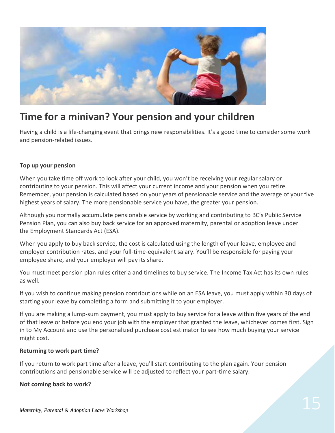

### **Time for a minivan? Your pension and your children**

Having a child is a life-changing event that brings new responsibilities. It's a good time to consider some work and pension‐related issues.

#### **Top up your pension**

When you take time off work to look after your child, you won't be receiving your regular salary or contributing to your pension. This will affect your current income and your pension when you retire. Remember, your pension is calculated based on your years of pensionable service and the average of your five highest years of salary. The more pensionable service you have, the greater your pension.

Although you normally accumulate pensionable service by working and contributing to BC's Public Service Pension Plan, you can also buy back service for an approved maternity, parental or adoption leave under the Employment Standards Act (ESA).

When you apply to buy back service, the cost is calculated using the length of your leave, employee and employer contribution rates, and your full-time-equivalent salary. You'll be responsible for paying your employee share, and your employer will pay its share.

You must meet pension plan rules criteria and timelines to buy service. The Income Tax Act has its own rules as well.

If you wish to continue making pension contributions while on an ESA leave, you must apply within 30 days of starting your leave by completing a form and submitting it to your employer.

If you are making a lump-sum payment, you must apply to buy service for a leave within five years of the end of that leave or before you end your job with the employer that granted the leave, whichever comes first. Sign in to My Account and use the personalized purchase cost estimator to see how much buying your service might cost.

#### **Returning to work part time?**

If you return to work part time after a leave, you'll start contributing to the plan again. Your pension contributions and pensionable service will be adjusted to reflect your part-time salary.

#### **Not coming back to work?**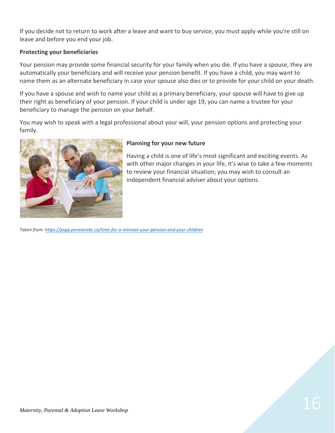If you decide not to return to work after a leave and want to buy service, you must apply while you're still on leave and before you end your job.

#### **Protecting your beneficiaries**

Your pension may provide some financial security for your family when you die. If you have a spouse, they are automatically your beneficiary and will receive your pension benefit. If you have a child, you may want to name them as an alternate beneficiary in case your spouse also dies or to provide for your child on your death.

If you have a spouse and wish to name your child as a primary beneficiary, your spouse will have to give up their right as beneficiary of your pension. If your child is under age 19, you can name a trustee for your beneficiary to manage the pension on your behalf.

You may wish to speak with a legal professional about your will, your pension options and protecting your family.



#### **Planning for your new future**

Having a child is one of life's most significant and exciting events. As with other major changes in your life, it's wise to take a few moments to review your financial situation; you may wish to consult an independent financial adviser about your options.

*Taken from[: https://pspp.pensionsbc.ca/time-for-a-minivan-your-pension-and-your-children](https://pspp.pensionsbc.ca/time-for-a-minivan-your-pension-and-your-children)*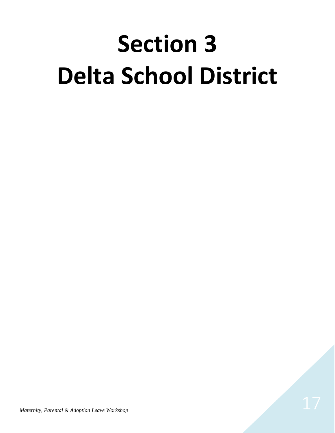## **Section 3 Delta School District**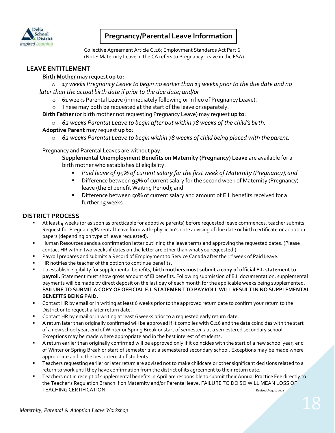

#### **Pregnancy/Parental Leave Information**

 Collective Agreement Article G.26; Employment Standards Act Part 6 (Note: Maternity Leave in the CA refers to Pregnancy Leave in the ESA)

#### **LEAVE ENTITLEMENT**

#### **Birth Mother** may request **up to**:

o *17 weeks Pregnancy Leave to begin no earlier than 13 weeks prior to the due date and no later than the actual birth date if prior to the due date; and/or*

- o 61 weeks Parental Leave (immediately following or in lieu of PregnancyLeave).
- o These may both be requested at the start of the leave or separately.

**Birth Father** (or birth mother not requesting Pregnancy Leave) may request **up to**:

o *62 weeks Parental Leave to begin after but within 78 weeks of the child's birth.*

#### **Adoptive Parent** may request **up to**:

o *62 weeks Parental Leave to begin within 78 weeks of child being placed with theparent.*

Pregnancy and Parental Leaves are without pay.

**Supplemental Unemployment Benefits on Maternity (Pregnancy) Leave** are available for a birth mother who establishes EI eligibility:

- *Paid leave of 95% of current salary for the first week of Maternity (Pregnancy);and*
- **E** Difference between 95% of current salary for the second week of Maternity (Pregnancy) leave (the EI benefit Waiting Period); and
- Difference between 50% of current salary and amount of E.I. benefits received for a further 15 weeks.

#### **DISTRICT PROCESS**

- At least 4 weeks (or as soon as practicable for adoptive parents) before requested leave commences, teacher submits Request for Pregnancy/Parental Leave form with: physician's note advising of due date **or** birth certificate **or** adoption papers (depending on type of leave requested).
- Human Resources sends a confirmation letter outlining the leave terms and approving the requested dates. (Please contact HR within two weeks if dates on the letter are other than what you requested.)
- Payroll prepares and submits a Record of Employment to Service Canada after the 1<sup>st</sup> week of Paid Leave.
- HR notifies the teacher of the option to continue benefits.
- To establish eligibility for supplemental benefits, **birth mothers must submit a copy of official E.I. statement to payroll.** Statement must show gross amount of EI benefits. Following submission of E.I. documentation, supplemental payments will be made by direct deposit on the last day of each month for the applicable weeks being supplemented. **FAILURE TO SUBMIT A COPY OF OFFICIAL E.I. STATEMENT TO PAYROLL WILL RESULT IN NO SUPPLEMENTAL BENEFITS BEING PAID.**
- **EXECONTER 19 IN A CONTER 1** October 1 and Teast 6 weeks prior to the approved return date to confirm your return to the District or to request a later return date.
- **•** Contact HR by email or in writing at least 6 weeks prior to a requested early return date.
- A return later than originally confirmed will be approved if it complies with G.26 and the date coincides with the start of a new school year, end of Winter or Spring Break or start of semester 2 at a semestered secondary school. Exceptions may be made where appropriate and in the best interest of students.
- **EXECT** A return earlier than originally confirmed will be approved only if it coincides with the start of a new school year, end of Winter or Spring Break or start of semester 2 at a semestered secondary school. Exceptions may be made where appropriate and in the best interest of students.
- Teachers requesting earlier or later return are advised not to make childcare or other significant decisions related to a return to work until they have confirmation from the district of its agreement to their return date.
- Teachers not in receipt of supplemental benefits in April are responsible to submit their Annual Practice Fee directly to the Teacher's Regulation Branch if on Maternity and/or Parental leave. FAILURE TO DO SO WILL MEAN LOSS OF TEACHING CERTIFICATION! THE SERVICE OF A SERVICE OF A SERVICE OF A SERVICE OF A SERVICE OF A SERVICE OF A SERVICE OF A SERVICE OF A SERVICE OF A SERVICE OF A SERVICE OF A SERVICE OF A SERVICE OF A SERVICE OF A SERVICE OF A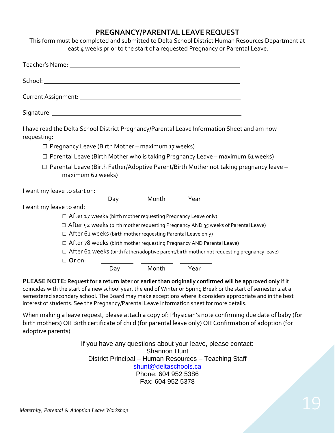#### **PREGNANCY/PARENTAL LEAVE REQUEST**

This form must be completed and submitted to Delta School District Human Resources Department at least 4 weeks prior to the start of a requested Pregnancy or Parental Leave.

| requesting:             |                                                                      |     |                | I have read the Delta School District Pregnancy/Parental Leave Information Sheet and am now      |  |
|-------------------------|----------------------------------------------------------------------|-----|----------------|--------------------------------------------------------------------------------------------------|--|
|                         | $\Box$ Pregnancy Leave (Birth Mother – maximum 17 weeks)             |     |                |                                                                                                  |  |
|                         |                                                                      |     |                | $\Box$ Parental Leave (Birth Mother who is taking Pregnancy Leave – maximum 61 weeks)            |  |
|                         | maximum 62 weeks)                                                    |     |                | $\Box$ Parental Leave (Birth Father/Adoptive Parent/Birth Mother not taking pregnancy leave -    |  |
|                         |                                                                      |     |                |                                                                                                  |  |
|                         |                                                                      |     | Day Month Year |                                                                                                  |  |
| I want my leave to end: |                                                                      |     |                |                                                                                                  |  |
|                         | $\Box$ After 17 weeks (birth mother requesting Pregnancy Leave only) |     |                |                                                                                                  |  |
|                         |                                                                      |     |                | $\Box$ After 52 weeks (birth mother requesting Pregnancy AND 35 weeks of Parental Leave)         |  |
|                         | $\Box$ After 61 weeks (birth mother requesting Parental Leave only)  |     |                |                                                                                                  |  |
|                         |                                                                      |     |                | $\Box$ After 78 weeks (birth mother requesting Pregnancy AND Parental Leave)                     |  |
|                         |                                                                      |     |                | $\Box$ After 62 weeks (birth father/adoptive parent/birth mother not requesting pregnancy leave) |  |
|                         | $\Box$ Or on:                                                        |     |                |                                                                                                  |  |
|                         |                                                                      | Day | Month          | Year                                                                                             |  |

**PLEASE NOTE: Request for a return later or earlier than originally confirmed will be approved only** if it coincides with the start of a new school year, the end of Winter or Spring Break or the start of semester 2 at a semestered secondary school. The Board may make exceptions where it considers appropriate and in the best interest of students. See the Pregnancy/Parental Leave Information sheet for more details.

When making a leave request, please attach a copy of: Physician's note confirming due date of baby (for birth mothers) OR Birth certificate of child (for parental leave only) OR Confirmation of adoption (for adoptive parents)

> If you have any questions about your leave, please contact: Shannon Hunt District Principal – Human Resources – Teaching Staff [shunt@deltaschools.ca](mailto:shunt@deltaschools.ca) Phone: 604 952 5386 Fax: 604 952 5378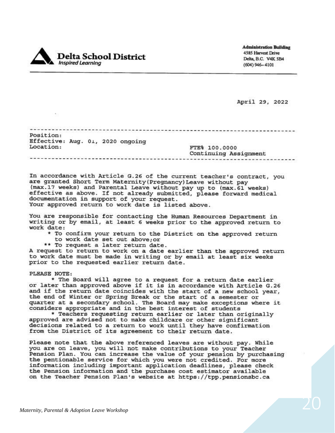

**Administration Building** 4585 Harvest Drive Delta, B.C. V4K 5B4  $(604)$  946 - 4101

April 29, 2022

Position: Effective: Aug. 01, 2020 ongoing Location: FTE% 100.0000

Continuing Assignment 

In accordance with Article G.26 of the current teacher's contract, you are granted Short Term Maternity (Pregnancy) Leave without pay (max.17 weeks) and Parental Leave without pay up to (max.61 weeks) effective as above. If not already submitted, please forward medical documentation in support of your request. Your approved return to work date is listed above.

You are responsible for contacting the Human Resources Department in writing or by email, at least 6 weeks prior to the approved return to work date:

- \* To confirm your return to the District on the approved return
- to work date set out above; or
- \*\* To request a later return date.

A request to return to work on a date earlier than the approved return to work date must be made in writing or by email at least six weeks prior to the requested earlier return date.

PLEASE NOTE:

an i

\* The Board will agree to a request for a return date earlier or later than approved above if it is in accordance with Article G.26<br>and if the return date coincides with the start of a new school year, the end of Winter or Spring Break or the start of a semester or quarter at a secondary school. The Board may make exceptions where it considers appropriate and in the best interest of students

\* Teachers requesting return earlier or later than originally approved are advised not to make childcare or other significant decisions related to a return to work until they have confirmation from the District of its agreement to their return date.

Please note that the above referenced leaves are without pay. While you are on leave, you will not make contributions to your Teacher Pension Plan. You can increase the value of your pension by purchasing the pentionable service for which you were not credited. For more information including important application deadlines, please check the Pension information and the purchase cost estimator available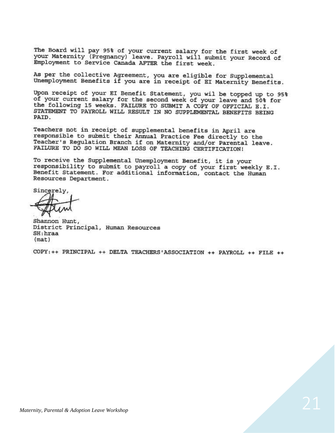The Board will pay 95% of your current salary for the first week of your Maternity (Pregnancy) leave. Payroll will submit your Record of Employment to Service Canada AFTER the first week.

As per the collective Agreement, you are eligible for Supplemental Unemployment Benefits if you are in receipt of EI Maternity Benefits.

Upon receipt of your EI Benefit Statement, you wil be topped up to 95% of your current salary for the second week of your leave and 50% for the following 15 weeks. FAILURE TO SUBMIT A COPY OF OFFICIAL E.I. STATEMENT TO PAYROLL WILL RESULT IN NO SUPPLEMENTAL BENEFITS BEING PAID.

Teachers not in receipt of supplemental benefits in April are responsible to submit their Annual Practice Fee directly to the Teacher's Regulation Branch if on Maternity and/or Parental leave. FAILURE TO DO SO WILL MEAN LOSS OF TEACHING CERTIFICATION!

To receive the Supplemental Unemployment Benefit, it is your responsibility to submit to payroll a copy of your first weekly E.I. Benefit Statement. For additional information, contact the Human Resources Department.

Sincerely,

Shannon Hunt, District Principal, Human Resources SH: hraa  $(max)$ 

COPY: ++ PRINCIPAL ++ DELTA TEACHERS'ASSOCIATION ++ PAYROLL ++ FILE ++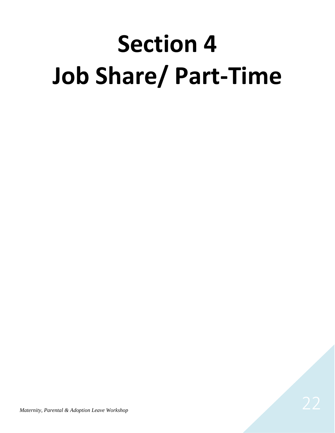## **Section 4 Job Share/ Part-Time**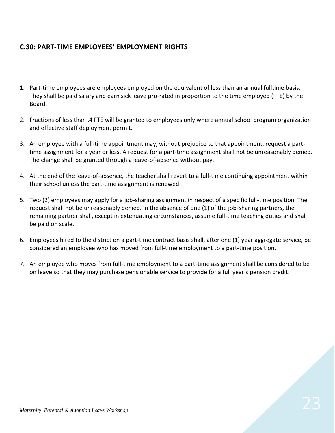#### **C.30: PART-TIME EMPLOYEES' EMPLOYMENT RIGHTS**

- 1. Part-time employees are employees employed on the equivalent of less than an annual fulltime basis. They shall be paid salary and earn sick leave pro-rated in proportion to the time employed (FTE) by the Board.
- 2. Fractions of less than .4 FTE will be granted to employees only where annual school program organization and effective staff deployment permit.
- 3. An employee with a full-time appointment may, without prejudice to that appointment, request a parttime assignment for a year or less. A request for a part-time assignment shall not be unreasonably denied. The change shall be granted through a leave-of-absence without pay.
- 4. At the end of the leave-of-absence, the teacher shall revert to a full-time continuing appointment within their school unless the part-time assignment is renewed.
- 5. Two (2) employees may apply for a job-sharing assignment in respect of a specific full-time position. The request shall not be unreasonably denied. In the absence of one (1) of the job-sharing partners, the remaining partner shall, except in extenuating circumstances, assume full-time teaching duties and shall be paid on scale.
- 6. Employees hired to the district on a part-time contract basis shall, after one (1) year aggregate service, be considered an employee who has moved from full-time employment to a part-time position.
- 7. An employee who moves from full-time employment to a part-time assignment shall be considered to be on leave so that they may purchase pensionable service to provide for a full year's pension credit.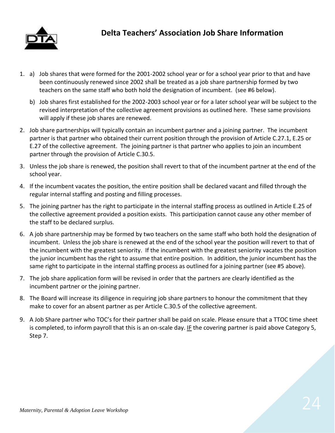

- 1. a) Job shares that were formed for the 2001-2002 school year or for a school year prior to that and have been continuously renewed since 2002 shall be treated as a job share partnership formed by two teachers on the same staff who both hold the designation of incumbent. (see #6 below).
	- b) Job shares first established for the 2002-2003 school year or for a later school year will be subject to the revised interpretation of the collective agreement provisions as outlined here. These same provisions will apply if these job shares are renewed.
- 2. Job share partnerships will typically contain an incumbent partner and a joining partner. The incumbent partner is that partner who obtained their current position through the provision of Article C.27.1, E.25 or E.27 of the collective agreement. The joining partner is that partner who applies to join an incumbent partner through the provision of Article C.30.5.
- 3. Unless the job share is renewed, the position shall revert to that of the incumbent partner at the end of the school year.
- 4. If the incumbent vacates the position, the entire position shall be declared vacant and filled through the regular internal staffing and posting and filling processes.
- 5. The joining partner has the right to participate in the internal staffing process as outlined in Article E.25 of the collective agreement provided a position exists. This participation cannot cause any other member of the staff to be declared surplus.
- 6. A job share partnership may be formed by two teachers on the same staff who both hold the designation of incumbent. Unless the job share is renewed at the end of the school year the position will revert to that of the incumbent with the greatest seniority. If the incumbent with the greatest seniority vacates the position the junior incumbent has the right to assume that entire position. In addition, the junior incumbent has the same right to participate in the internal staffing process as outlined for a joining partner (see #5 above).
- 7. The job share application form will be revised in order that the partners are clearly identified as the incumbent partner or the joining partner.
- 8. The Board will increase its diligence in requiring job share partners to honour the commitment that they make to cover for an absent partner as per Article C.30.5 of the collective agreement.
- 9. A Job Share partner who TOC's for their partner shall be paid on scale. Please ensure that a TTOC time sheet is completed, to inform payroll that this is an on-scale day. IF the covering partner is paid above Category 5, Step 7.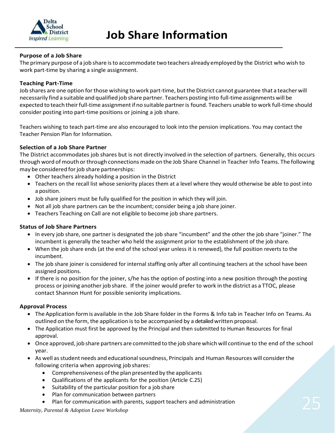

#### **Purpose of a Job Share**

The primary purpose of a job share isto accommodate two teachers already employed by the District who wish to work part-time by sharing a single assignment.

#### **Teaching Part-Time**

Job shares are one option forthose wishing to work part-time, but the District cannot guarantee that a teacher will necessarily find a suitable and qualified job share partner. Teachers posting into full-time assignments will be expected to teach their full-time assignment if no suitable partner is found. Teachers unable to work full-time should consider posting into part-time positions or joining a job share.

Teachers wishing to teach part-time are also encouraged to look into the pension implications. You may contact the Teacher Pension Plan for Information.

#### **Selection of a Job Share Partner**

The District accommodates job shares but is not directly involved in the selection of partners. Generally, this occurs through word of mouth or through connections made on the Job Share Channel in Teacher Info Teams. The following may be considered for job share partnerships:

- Other teachers already holding a position in the District
- Teachers on the recall list whose seniority places them at a level where they would otherwise be able to post into a position.
- Job share joiners must be fully qualified for the position in which they will join.
- Not all job share partners can be the incumbent; consider being a job share joiner.
- Teachers Teaching on Call are not eligible to become job share partners.

#### **Status of Job Share Partners**

- In every job share, one partner is designated the job share "incumbent" and the other the job share "joiner." The incumbent is generally the teacher who held the assignment prior to the establishment of the job share.
- When the job share ends (at the end of the school year unless it is renewed), the full position reverts to the incumbent.
- The job share joiner is considered for internal staffing only after all continuing teachers at the school have been assigned positions.
- If there is no position for the joiner, s/he has the option of posting into a new position through the posting process orjoining another job share. If the joiner would prefer to work in the district as a TTOC, please contact Shannon Hunt for possible seniority implications.

#### **Approval Process**

- The Application formis available in the Job Share folder in the Forms & Info tab in Teacher Info on Teams. As outlined on the form, the application isto be accompanied by a detailed written proposal.
- The Application must first be approved by the Principal and then submitted to Human Resources for final approval.
- Once approved, job share partners are committed to the job share which will continue to the end of the school year.
- As well as student needs and educational soundness, Principals and Human Resources will consider the following criteria when approving job shares:
	- Comprehensiveness ofthe plan presented by the applicants
	- Qualifications of the applicants for the position (Article C.25)
	- Suitability of the particular position for a job share
	- Plan for communication between partners
- Plan for communication between partners<br>• Plan for communication with parents, support teachers and administration<br>*Maternity, Parental & Adoption Leave Workshop*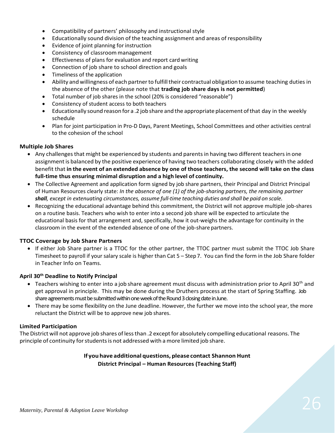- Compatibility of partners' philosophy and instructional style
- Educationally sound division of the teaching assignment and areas of responsibility
- Evidence of joint planning for instruction
- Consistency of classroom management
- Effectiveness of plans for evaluation and report card writing
- Connection of job share to school direction and goals
- Timeliness of the application
- Ability and willingness of each partner to fulfill their contractual obligation to assume teaching duties in the absence of the other (please note that **trading job share days is not permitted**)
- Total number of job shares in the school (20% is considered "reasonable")
- Consistency of student access to both teachers
- Educationally sound reason for a .2 job share and the appropriate placement ofthat day in the weekly schedule
- Plan for joint participation in Pro-D Days, Parent Meetings, School Committees and other activities central to the cohesion of the school

#### **Multiple Job Shares**

- Any challenges that might be experienced by students and parents in having two different teachers in one assignment is balanced by the positive experience of having two teachers collaborating closely with the added benefit that **in the event of an extended absence by one of those teachers, the second will take on the class full-time thus ensuring minimal disruption and a high level of continuity.**
- The Collective Agreement and application form signed by job share partners, their Principal and District Principal of Human Resources clearly state: *In the absence of one (1) of the job-sharing partners, the remaining partner shall, except in extenuating circumstances, assume full-time teaching duties and shall be paid on scale.*
- Recognizing the educational advantage behind this commitment, the District will not approve multiple job-shares on a routine basis. Teachers who wish to enter into a second job share will be expected to articulate the educational basis for that arrangement and, specifically, how it out-weighs the advantage for continuity in the classroom in the event of the extended absence of one of the job-share partners.

#### **TTOC Coverage by Job Share Partners**

• If either Job Share partner is a TTOC for the other partner, the TTOC partner must submit the TTOC Job Share Timesheet to payroll if your salary scale is higher than Cat 5 – Step 7. You can find the form in the Job Share folder in Teacher Info on Teams.

#### **April 30th Deadline to Notify Principal**

- Teachers wishing to enter into a job share agreement must discuss with administration prior to April 30<sup>th</sup> and get approval in principle. This may be done during the Druthers process at the start of Spring Staffing. Job share agreements must be submitted within one week of the Round 3 closing date in June.
- There may be some flexibility on the June deadline. However, the further we move into the school year, the more reluctant the District will be to approve new job shares.

#### **Limited Participation**

The District will not approve job shares of less than .2 except for absolutely compelling educational reasons. The principle of continuity forstudentsis not addressed with a more limited job share.

#### **If you have additional questions, please contact Shannon Hunt District Principal – Human Resources (Teaching Staff)**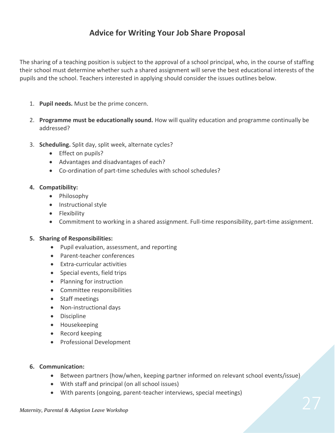#### **Advice for Writing Your Job Share Proposal**

The sharing of a teaching position is subject to the approval of a school principal, who, in the course of staffing their school must determine whether such a shared assignment will serve the best educational interests of the pupils and the school. Teachers interested in applying should consider the issues outlines below.

- 1. **Pupil needs.** Must be the prime concern.
- 2. **Programme must be educationally sound.** How will quality education and programme continually be addressed?
- 3. **Scheduling.** Split day, split week, alternate cycles?
	- Effect on pupils?
	- Advantages and disadvantages of each?
	- Co-ordination of part-time schedules with school schedules?

#### **4. Compatibility:**

- Philosophy
- Instructional style
- Flexibility
- Commitment to working in a shared assignment. Full-time responsibility, part-time assignment.

#### **5. Sharing of Responsibilities:**

- Pupil evaluation, assessment, and reporting
- Parent-teacher conferences
- Extra-curricular activities
- Special events, field trips
- Planning for instruction
- Committee responsibilities
- Staff meetings
- Non-instructional days
- Discipline
- Housekeeping
- Record keeping
- Professional Development
- **6. Communication:**
	- Between partners (how/when, keeping partner informed on relevant school events/issue)
	- With staff and principal (on all school issues)
	- With parents (ongoing, parent-teacher interviews, special meetings)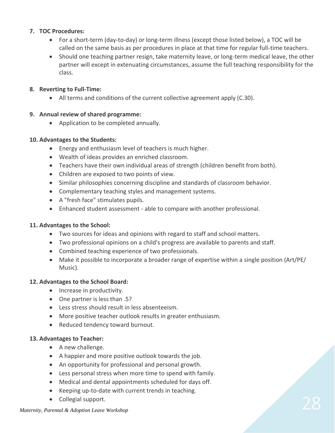#### **7. TOC Procedures:**

- For a short-term (day-to-day) or long-term illness (except those listed below), a TOC will be called on the same basis as per procedures in place at that time for regular full-time teachers.
- Should one teaching partner resign, take maternity leave, or long-term medical leave, the other partner will except in extenuating circumstances, assume the full teaching responsibility for the class.

#### **8. Reverting to Full-Time:**

• All terms and conditions of the current collective agreement apply (C.30).

#### **9. Annual review of shared programme:**

• Application to be completed annually.

#### **10. Advantages to the Students:**

- Energy and enthusiasm level of teachers is much higher.
- Wealth of ideas provides an enriched classroom.
- Teachers have their own individual areas of strength (children benefit from both).
- Children are exposed to two points of view.
- Similar philosophies concerning discipline and standards of classroom behavior.
- Complementary teaching styles and management systems.
- A "fresh face" stimulates pupils.
- Enhanced student assessment able to compare with another professional.

#### **11. Advantages to the School:**

- Two sources for ideas and opinions with regard to staff and school matters.
- Two professional opinions on a child's progress are available to parents and staff.
- Combined teaching experience of two professionals.
- Make it possible to incorporate a broader range of expertise within a single position (Art/PE/ Music).

#### **12. Advantages to the School Board:**

- Increase in productivity.
- One partner is less than .5?
- Less stress should result in less absenteeism.
- More positive teacher outlook results in greater enthusiasm.
- Reduced tendency toward burnout.

#### **13. Advantages to Teacher:**

- A new challenge.
- A happier and more positive outlook towards the job.
- An opportunity for professional and personal growth.
- Less personal stress when more time to spend with family.
- Medical and dental appointments scheduled for days off.
- Keeping up-to-date with current trends in teaching.
- Collegial support.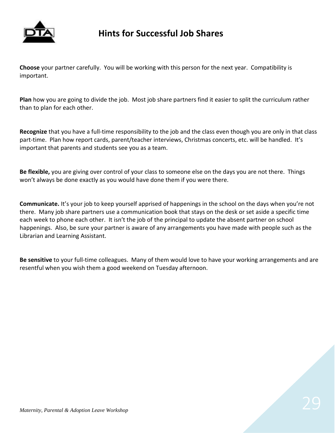

### **Hints for Successful Job Shares**

**Choose** your partner carefully. You will be working with this person for the next year. Compatibility is important.

**Plan** how you are going to divide the job. Most job share partners find it easier to split the curriculum rather than to plan for each other.

**Recognize** that you have a full-time responsibility to the job and the class even though you are only in that class part-time. Plan how report cards, parent/teacher interviews, Christmas concerts, etc. will be handled. It's important that parents and students see you as a team.

**Be flexible,** you are giving over control of your class to someone else on the days you are not there. Things won't always be done exactly as you would have done them if you were there.

**Communicate.** It's your job to keep yourself apprised of happenings in the school on the days when you're not there. Many job share partners use a communication book that stays on the desk or set aside a specific time each week to phone each other. It isn't the job of the principal to update the absent partner on school happenings. Also, be sure your partner is aware of any arrangements you have made with people such as the Librarian and Learning Assistant.

**Be sensitive** to your full-time colleagues. Many of them would love to have your working arrangements and are resentful when you wish them a good weekend on Tuesday afternoon.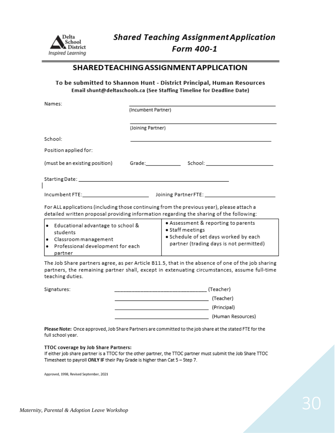

#### SHARED TEACHING ASSIGNMENT APPLICATION

#### To be submitted to Shannon Hunt - District Principal, Human Resources Email shunt@deltaschools.ca (See Staffing Timeline for Deadline Date)

| Names:                |                                                                                                                                                                                      |
|-----------------------|--------------------------------------------------------------------------------------------------------------------------------------------------------------------------------------|
|                       | (Incumbent Partner)                                                                                                                                                                  |
|                       | (Joining Partner)                                                                                                                                                                    |
| School:               |                                                                                                                                                                                      |
| Position applied for: |                                                                                                                                                                                      |
|                       | (must be an existing position) Grade: School: School: School:                                                                                                                        |
|                       |                                                                                                                                                                                      |
|                       |                                                                                                                                                                                      |
|                       | For ALL applications (including those continuing from the previous year), please attach a<br>detailed written proposal providing information regarding the sharing of the following: |
|                       | a Accaccmant & canocting to parante                                                                                                                                                  |

| ı.<br>ı. | Educational advantage to school &<br>students<br>Classroom management<br> ● Professional development for each | • Assessment & reporting to parents<br>● Staff meetings<br>. Schedule of set days worked by each<br>partner (trading days is not permitted) |
|----------|---------------------------------------------------------------------------------------------------------------|---------------------------------------------------------------------------------------------------------------------------------------------|
|          | partner                                                                                                       |                                                                                                                                             |

The Job Share partners agree, as per Article B11.5, that in the absence of one of the job sharing partners, the remaining partner shall, except in extenuating circumstances, assume full-time teaching duties.

Signature

 $\overline{\phantom{a}}$ 

| ≘s: | (Teacher) |                   |
|-----|-----------|-------------------|
|     |           | (Teacher)         |
|     |           | (Principal)       |
|     |           | (Human Resources) |
|     |           |                   |

Please Note: Once approved, Job Share Partners are committed to the job share at the stated FTE for the full school year.

#### TTOC coverage by Job Share Partners:

If either job share partner is a TTOC for the other partner, the TTOC partner must submit the Job Share TTOC Timesheet to payroll ONLY IF their Pay Grade is higher than Cat 5 - Step 7.

Approved, 1998, Revised September, 2021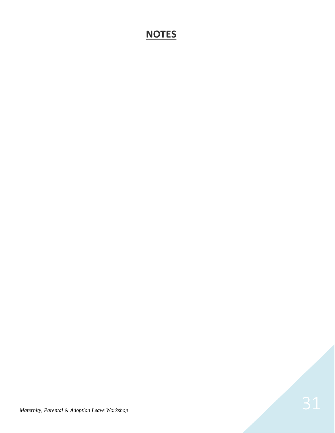### **NOTES**